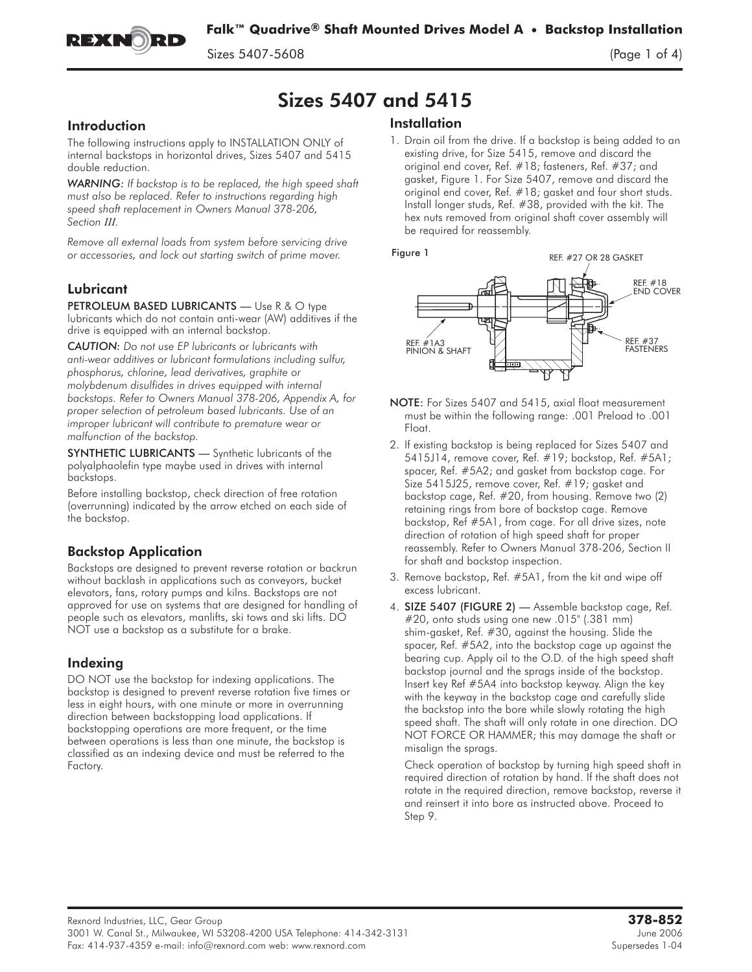

 $\mathcal{S}$  5407-5608 (Page 1 of 4)  $\mathcal{S}$ 

# Sizes 5407 and 5415

# **Introduction**

The following instructions apply to INSTALLATION ONLY of internal backstops in horizontal drives, Sizes 5407 and 5415 double reduction.

*WARNING: If backstop is to be replaced, the high speed shaft must also be replaced. Refer to instructions regarding high speed shaft replacement in Owners Manual 378-206, Section III.*

*Remove all external loads from system before servicing drive or accessories, and lock out starting switch of prime mover.*

# Lubricant

PETROLEUM BASED LUBRICANTS - Use R & O type lubricants which do not contain anti-wear (AW) additives if the drive is equipped with an internal backstop.

*CAUTION: Do not use EP lubricants or lubricants with anti-wear additives or lubricant formulations including sulfur, phosphorus, chlorine, lead derivatives, graphite or molybdenum disulfides in drives equipped with internal backstops. Refer to Owners Manual 378-206, Appendix A, for proper selection of petroleum based lubricants. Use of an improper lubricant will contribute to premature wear or malfunction of the backstop.*

SYNTHETIC LUBRICANTS - Synthetic lubricants of the polyalphaolefin type maybe used in drives with internal backstops.

Before installing backstop, check direction of free rotation (overrunning) indicated by the arrow etched on each side of the backstop.

# Backstop Application

Backstops are designed to prevent reverse rotation or backrun without backlash in applications such as conveyors, bucket elevators, fans, rotary pumps and kilns. Backstops are not approved for use on systems that are designed for handling of people such as elevators, manlifts, ski tows and ski lifts. DO NOT use a backstop as a substitute for a brake.

# Indexing

DO NOT use the backstop for indexing applications. The backstop is designed to prevent reverse rotation five times or less in eight hours, with one minute or more in overrunning direction between backstopping load applications. If backstopping operations are more frequent, or the time between operations is less than one minute, the backstop is classified as an indexing device and must be referred to the Factory.

# **Installation**

1. Drain oil from the drive. If a backstop is being added to an existing drive, for Size 5415, remove and discard the original end cover, Ref. #18; fasteners, Ref. #37; and gasket, Figure 1. For Size 5407, remove and discard the original end cover, Ref. #18; gasket and four short studs. Install longer studs, Ref. #38, provided with the kit. The hex nuts removed from original shaft cover assembly will be required for reassembly.



- NOTE: For Sizes 5407 and 5415, axial float measurement must be within the following range: .001 Preload to .001 Float.
- 2. If existing backstop is being replaced for Sizes 5407 and 5415J14, remove cover, Ref. #19; backstop, Ref. #5A1; spacer, Ref. #5A2; and gasket from backstop cage. For Size 5415J25, remove cover, Ref. #19; gasket and backstop cage, Ref. #20, from housing. Remove two (2) retaining rings from bore of backstop cage. Remove backstop, Ref #5A1, from cage. For all drive sizes, note direction of rotation of high speed shaft for proper reassembly. Refer to Owners Manual 378-206, Section II for shaft and backstop inspection.
- 3. Remove backstop, Ref. #5A1, from the kit and wipe off excess lubricant.
- 4. SIZE 5407 (FIGURE 2) Assemble backstop cage, Ref. #20, onto studs using one new .015" (.381 mm) shim-gasket, Ref. #30, against the housing. Slide the spacer, Ref. #5A2, into the backstop cage up against the bearing cup. Apply oil to the O.D. of the high speed shaft backstop journal and the sprags inside of the backstop. Insert key Ref #5A4 into backstop keyway. Align the key with the keyway in the backstop cage and carefully slide the backstop into the bore while slowly rotating the high speed shaft. The shaft will only rotate in one direction. DO NOT FORCE OR HAMMER; this may damage the shaft or misalign the sprags.

Check operation of backstop by turning high speed shaft in required direction of rotation by hand. If the shaft does not rotate in the required direction, remove backstop, reverse it and reinsert it into bore as instructed above. Proceed to Step 9.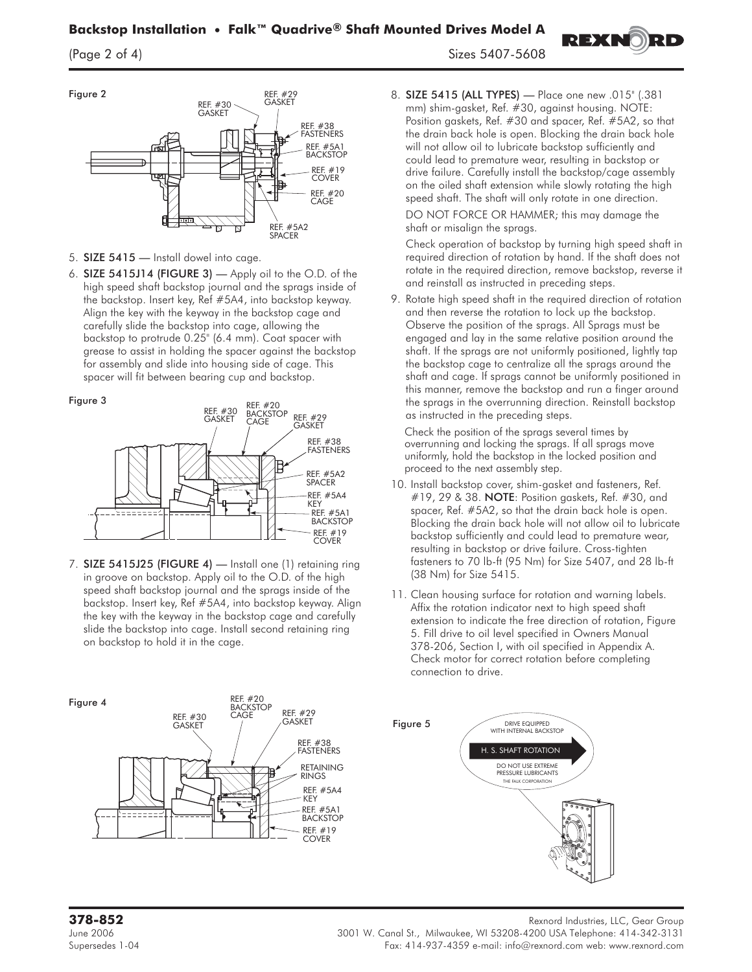

- 5. SIZE 5415 Install dowel into cage.
- 6. SIZE 5415J14 (FIGURE 3) Apply oil to the O.D. of the high speed shaft backstop journal and the sprags inside of the backstop. Insert key, Ref #5A4, into backstop keyway. Align the key with the keyway in the backstop cage and carefully slide the backstop into cage, allowing the backstop to protrude 0.25" (6.4 mm). Coat spacer with grease to assist in holding the spacer against the backstop for assembly and slide into housing side of cage. This spacer will fit between bearing cup and backstop.





7. SIZE 5415J25 (FIGURE 4) — Install one (1) retaining ring in groove on backstop. Apply oil to the O.D. of the high speed shaft backstop journal and the sprags inside of the backstop. Insert key, Ref #5A4, into backstop keyway. Align the key with the keyway in the backstop cage and carefully slide the backstop into cage. Install second retaining ring on backstop to hold it in the cage.

 $\left( \frac{2}{3}, \frac{2}{3}, \frac{2}{3}, \frac{2}{3} \right)$ 

8. SIZE 5415 (ALL TYPES) — Place one new .015" (.381 mm) shim-gasket, Ref. #30, against housing. **NOTE:** Position gaskets, Ref. #30 and spacer, Ref. #5A2, so that the drain back hole is open. Blocking the drain back hole will not allow oil to lubricate backstop sufficiently and could lead to premature wear, resulting in backstop or drive failure. Carefully install the backstop/cage assembly on the oiled shaft extension while slowly rotating the high speed shaft. The shaft will only rotate in one direction.

**REXNORD** 

DO NOT FORCE OR HAMMER; this may damage the shaft or misalign the sprags.

Check operation of backstop by turning high speed shaft in required direction of rotation by hand. If the shaft does not rotate in the required direction, remove backstop, reverse it and reinstall as instructed in preceding steps.

9. Rotate high speed shaft in the required direction of rotation and then reverse the rotation to lock up the backstop. Observe the position of the sprags. All Sprags must be engaged and lay in the same relative position around the shaft. If the sprags are not uniformly positioned, lightly tap the backstop cage to centralize all the sprags around the shaft and cage. If sprags cannot be uniformly positioned in this manner, remove the backstop and run a finger around the sprags in the overrunning direction. Reinstall backstop as instructed in the preceding steps.

Check the position of the sprags several times by overrunning and locking the sprags. If all sprags move uniformly, hold the backstop in the locked position and proceed to the next assembly step.

- 10. Install backstop cover, shim-gasket and fasteners, Ref. #19, 29 & 38. NOTE**:** Position gaskets, Ref. #30, and spacer, Ref. #5A2, so that the drain back hole is open. Blocking the drain back hole will not allow oil to lubricate backstop sufficiently and could lead to premature wear, resulting in backstop or drive failure. Cross-tighten fasteners to 70 lb-ft (95 Nm) for Size 5407, and 28 lb-ft (38 Nm) for Size 5415.
- 11. Clean housing surface for rotation and warning labels. Affix the rotation indicator next to high speed shaft extension to indicate the free direction of rotation, Figure 5. Fill drive to oil level specified in Owners Manual 378-206, Section I, with oil specified in Appendix A. Check motor for correct rotation before completing connection to drive.

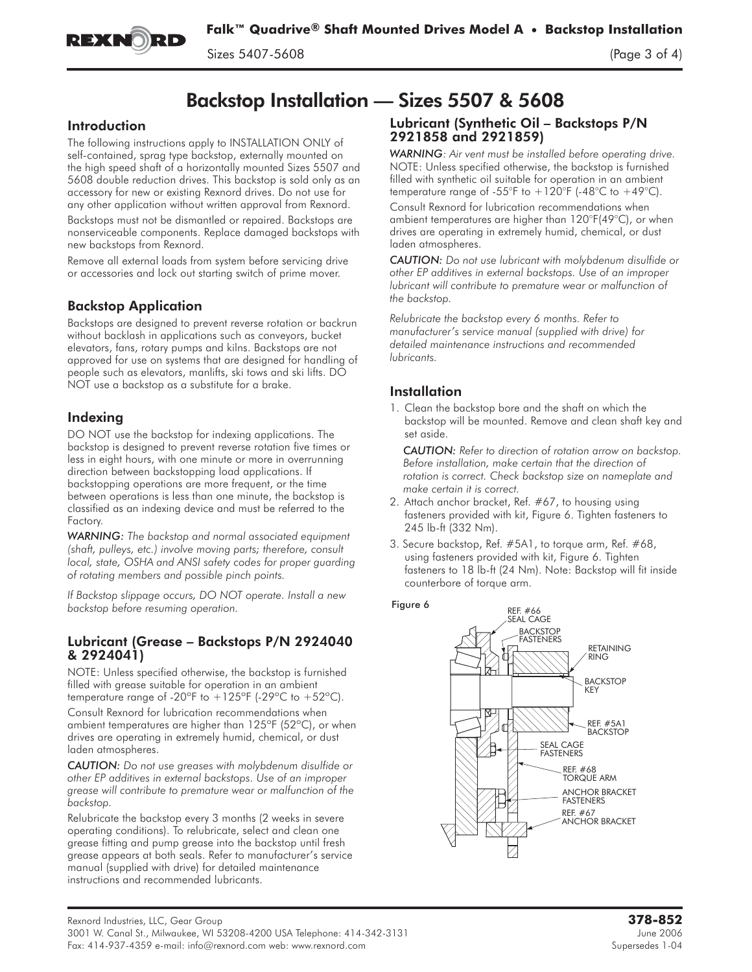![](_page_2_Picture_0.jpeg)

# Backstop Installation — Sizes 5507 & 5608

### **Introduction**

The following instructions apply to INSTALLATION ONLY of self-contained, sprag type backstop, externally mounted on the high speed shaft of a horizontally mounted Sizes 5507 and 5608 double reduction drives. This backstop is sold only as an accessory for new or existing Rexnord drives. Do not use for any other application without written approval from Rexnord.

Backstops must not be dismantled or repaired. Backstops are nonserviceable components. Replace damaged backstops with new backstops from Rexnord.

Remove all external loads from system before servicing drive or accessories and lock out starting switch of prime mover.

# Backstop Application

Backstops are designed to prevent reverse rotation or backrun without backlash in applications such as conveyors, bucket elevators, fans, rotary pumps and kilns. Backstops are not approved for use on systems that are designed for handling of people such as elevators, manlifts, ski tows and ski lifts. DO NOT use a backstop as a substitute for a brake.

# Indexing

DO NOT use the backstop for indexing applications. The backstop is designed to prevent reverse rotation five times or less in eight hours, with one minute or more in overrunning direction between backstopping load applications. If backstopping operations are more frequent, or the time between operations is less than one minute, the backstop is classified as an indexing device and must be referred to the Factory.

*WARNING: The backstop and normal associated equipment (shaft, pulleys, etc.) involve moving parts; therefore, consult local, state, OSHA and ANSI safety codes for proper guarding of rotating members and possible pinch points.*

*If Backstop slippage occurs, DO NOT operate. Install a new backstop before resuming operation.*

#### Lubricant (Grease – Backstops P/N 2924040 & 2924041)

NOTE: Unless specified otherwise, the backstop is furnished filled with grease suitable for operation in an ambient temperature range of -20 $^{\circ}$ F to  $+125^{\circ}$ F (-29 $^{\circ}$ C to  $+52^{\circ}$ C).

Consult Rexnord for lubrication recommendations when ambient temperatures are higher than 125ºF (52ºC), or when drives are operating in extremely humid, chemical, or dust laden atmospheres.

*CAUTION: Do not use greases with molybdenum disulfide or other EP additives in external backstops. Use of an improper grease will contribute to premature wear or malfunction of the backstop.*

Relubricate the backstop every 3 months (2 weeks in severe operating conditions). To relubricate, select and clean one grease fitting and pump grease into the backstop until fresh grease appears at both seals. Refer to manufacturer's service manual (supplied with drive) for detailed maintenance instructions and recommended lubricants.

# Lubricant (Synthetic Oil – Backstops P/N 2921858 and 2921859)

*WARNING: Air vent must be installed before operating drive.* NOTE: Unless specified otherwise, the backstop is furnished filled with synthetic oil suitable for operation in an ambient temperature range of -55°F to  $+120$ °F (-48°C to  $+49$ °C).

Consult Rexnord for lubrication recommendations when ambient temperatures are higher than 120°F(49°C), or when drives are operating in extremely humid, chemical, or dust laden atmospheres.

*CAUTION: Do not use lubricant with molybdenum disulfide or other EP additives in external backstops. Use of an improper lubricant will contribute to premature wear or malfunction of the backstop.*

*Relubricate the backstop every 6 months. Refer to manufacturer's service manual (supplied with drive) for detailed maintenance instructions and recommended lubricants.*

# **Installation**

1. Clean the backstop bore and the shaft on which the backstop will be mounted. Remove and clean shaft key and set aside.

*CAUTION: Refer to direction of rotation arrow on backstop. Before installation, make certain that the direction of rotation is correct. Check backstop size on nameplate and make certain it is correct.*

- 2. Attach anchor bracket, Ref. #67, to housing using fasteners provided with kit, Figure 6. Tighten fasteners to 245 lb-ft (332 Nm).
- 3. Secure backstop, Ref. #5A1, to torque arm, Ref. #68, using fasteners provided with kit, Figure 6. Tighten fasteners to 18 lb-ft (24 Nm). Note: Backstop will fit inside counterbore of torque arm.

![](_page_2_Figure_31.jpeg)

![](_page_2_Figure_32.jpeg)